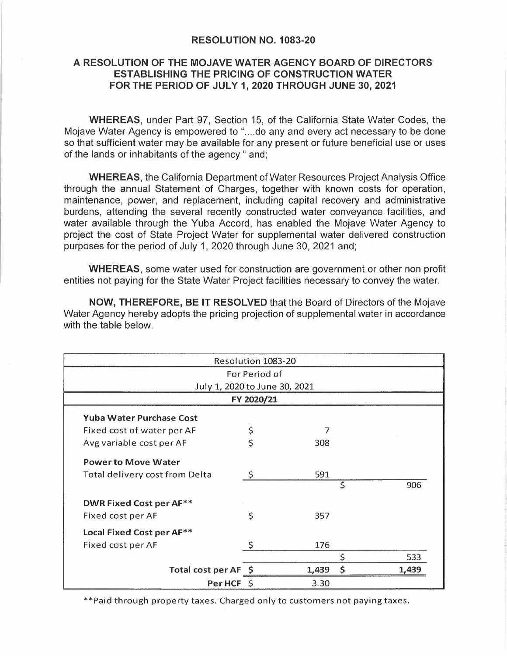## **RESOLUTION NO. 1083-20**

## **A RESOLUTION OF THE MOJAVE WATER AGENCY BOARD OF DIRECTORS ESTABLISHING THE PRICING OF CONSTRUCTION WATER FOR THE PERIOD OF JULY 1, 2020 THROUGH JUNE 30, 2021**

**WHEREAS,** under Part 97, Section 15, of the California State Water Codes, the Mojave Water Agency is empowered to "....do any and every act necessary to be done so that sufficient water may be available for any present or future beneficial use or uses of the lands or inhabitants of the agency " and;

**WHEREAS,** the California Department of Water Resources Project Analysis Office through the annual Statement of Charges, together with known costs for operation, maintenance, power, and replacement, including capital recovery and administrative burdens, attending the several recently constructed water conveyance facilities, and water available through the Yuba Accord, has enabled the Mojave Water Agency to project the cost of State Project Water for supplemental water delivered construction purposes for the period of July 1, 2020 through June 30, 2021 and;

**WHEREAS,** some water used for construction are government or other non profit entities not paying for the State Water Project facilities necessary to convey the water.

**NOW, THEREFORE, BE** IT **RESOLVED** that the Board of Directors of the Mojave Water Agency hereby adopts the pricing projection of supplemental water in accordance with the table below.

| Resolution 1083-20                    |              |       |                       |       |
|---------------------------------------|--------------|-------|-----------------------|-------|
| For Period of                         |              |       |                       |       |
| July 1, 2020 to June 30, 2021         |              |       |                       |       |
| FY 2020/21                            |              |       |                       |       |
| <b>Yuba Water Purchase Cost</b>       |              |       |                       |       |
| Fixed cost of water per AF            | \$           |       |                       |       |
| Avg variable cost per AF              | \$           | 308   |                       |       |
| <b>Power to Move Water</b>            |              |       |                       |       |
| <b>Total delivery cost from Delta</b> | $\zeta$      | 591   |                       |       |
|                                       |              |       | \$                    | 906   |
| <b>DWR Fixed Cost per AF**</b>        |              |       |                       |       |
| Fixed cost per AF                     | \$           | 357   |                       |       |
| Local Fixed Cost per AF**             |              |       |                       |       |
| Fixed cost per AF                     | Ś            | 176   |                       |       |
|                                       |              |       | \$                    | 533   |
| Total cost per AF \$                  |              | 1,439 | $\mathsf{\mathsf{S}}$ | 1.439 |
| Per HCF                               | <sup>S</sup> | 3.30  |                       |       |

\*\*Paid through property taxes. Charged only to customers not paying taxes.